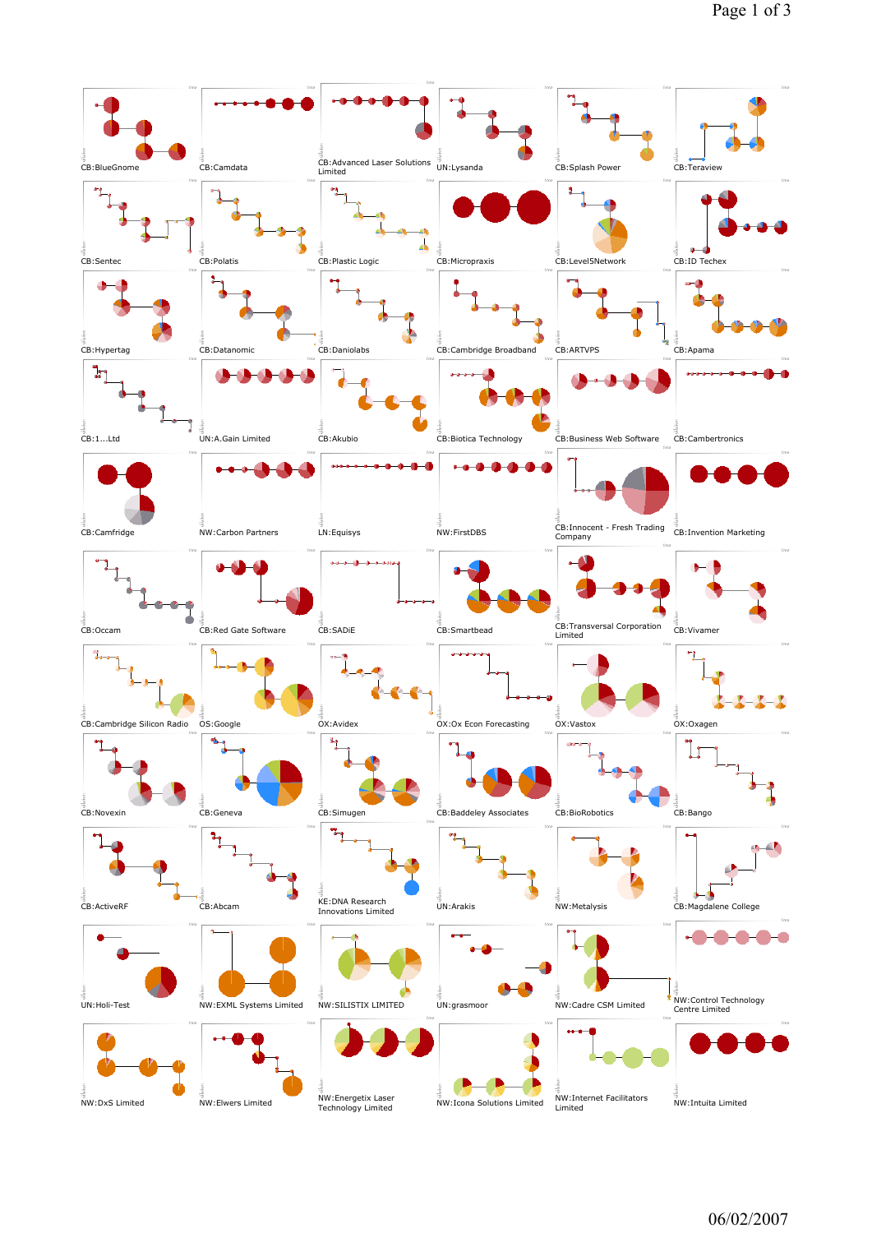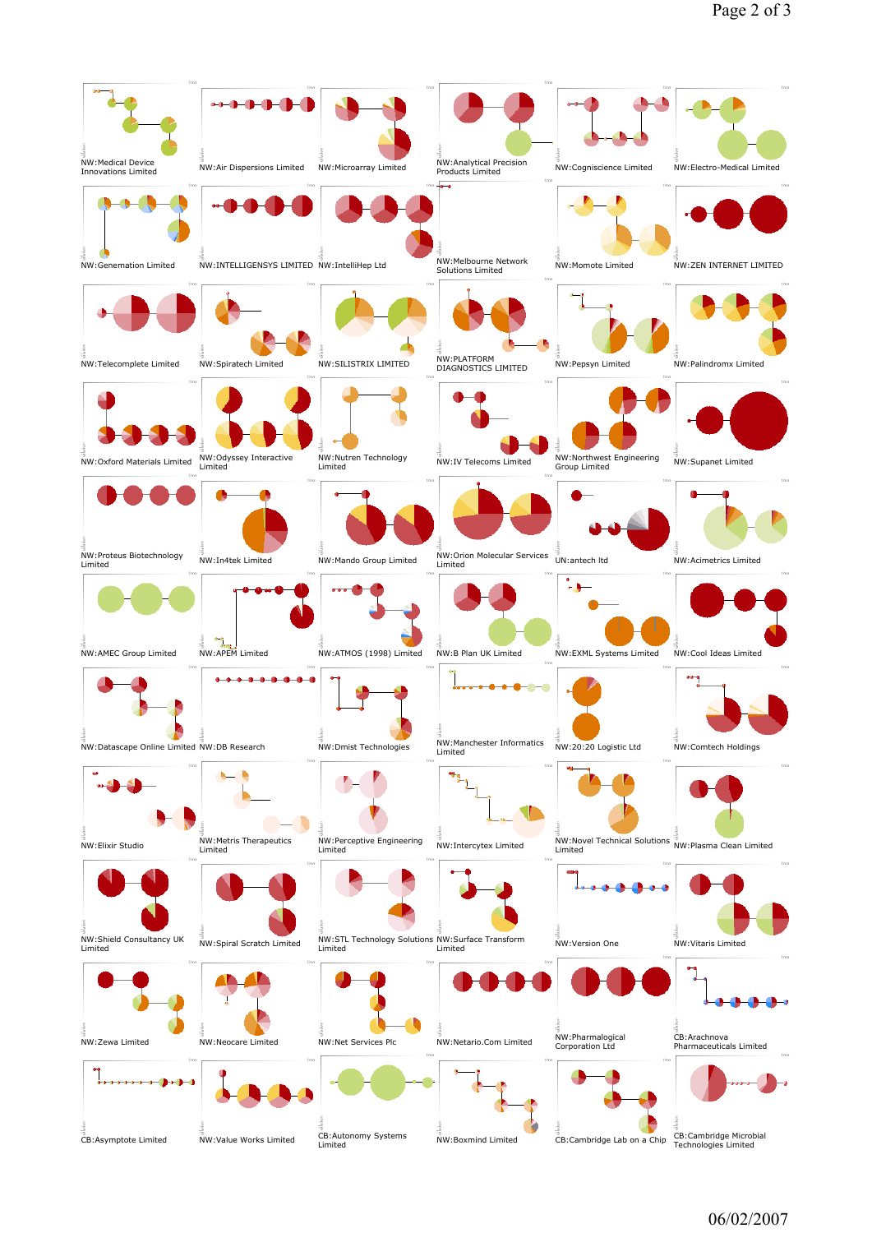